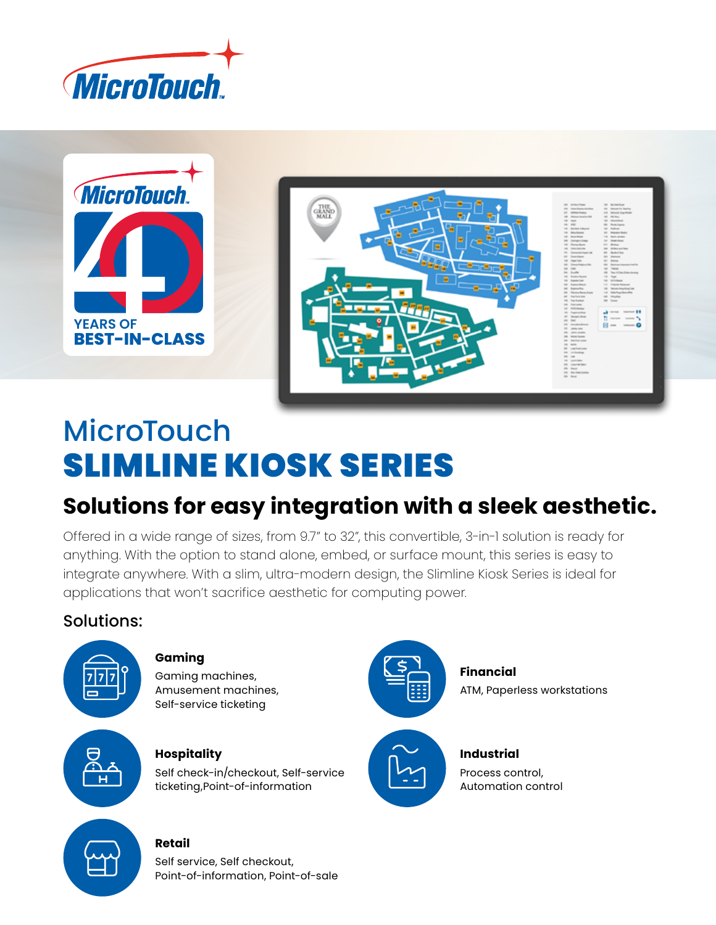



# **MicroTouch** SLIMLINE KIOSK SERIES

# **Solutions for easy integration with a sleek aesthetic.**

Offered in a wide range of sizes, from 9.7" to 32", this convertible, 3-in-1 solution is ready for anything. With the option to stand alone, embed, or surface mount, this series is easy to integrate anywhere. With a slim, ultra-modern design, the Slimline Kiosk Series is ideal for applications that won't sacrifice aesthetic for computing power.

### Solutions:



#### **Gaming**

Gaming machines, Amusement machines, Self-service ticketing



#### **Hospitality**

Self check-in/checkout, Self-service ticketing,Point-of-information



**Financial** ATM, Paperless workstations



**Industrial** Process control, Automation control



## **Retail**

Self service, Self checkout, Point-of-information, Point-of-sale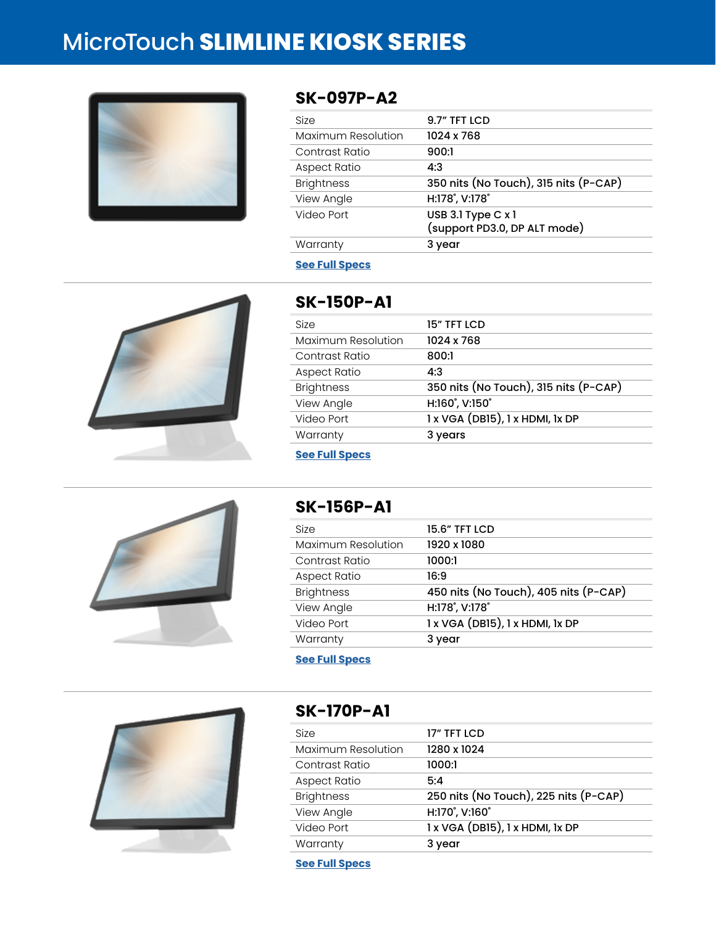# MicroTouch **SLIMLINE KIOSK SERIES**



#### **SK-097P-A2**

| <b>Size</b>        | 9.7" TFT LCD                                       |
|--------------------|----------------------------------------------------|
| Maximum Resolution | 1024 x 768                                         |
| Contrast Ratio     | 900:1                                              |
| Aspect Ratio       | 4:3                                                |
| <b>Brightness</b>  | 350 nits (No Touch), 315 nits (P-CAP)              |
| View Angle         | H:178°, V:178°                                     |
| Video Port         | USB 3.1 Type C x 1<br>(support PD3.0, DP ALT mode) |
| Warranty           | 3 year                                             |
|                    |                                                    |

#### **[See Full Specs](https://microtouch.com/products/sk-097p-a2/)**



### **SK-150P-A1**

| 1024 x 768<br>800:1<br>4:3<br>350 nits (No Touch), 315 nits (P-CAP) |
|---------------------------------------------------------------------|
|                                                                     |
|                                                                     |
|                                                                     |
|                                                                     |
| H:160°, V:150°                                                      |
| 1 x VGA (DB15), 1 x HDMI, 1x DP                                     |
| 3 years                                                             |
|                                                                     |



#### **SK-156P-A1**

| Size                | 15.6" TFT LCD                         |
|---------------------|---------------------------------------|
| Maximum Resolution  | 1920 x 1080                           |
| Contrast Ratio      | 1000:1                                |
| <b>Aspect Ratio</b> | 16:9                                  |
| <b>Brightness</b>   | 450 nits (No Touch), 405 nits (P-CAP) |
| View Angle          | H:178°, V:178°                        |
| Video Port          | $1x$ VGA (DB15), $1x$ HDMI, $1x$ DP   |
| Warranty            | 3 year                                |
|                     |                                       |

**[See Full Specs](https://microtouch.com/products/sk-156p-a1/)**



#### **SK-170P-A1**

| Size               | 17" TFT LCD                           |
|--------------------|---------------------------------------|
| Maximum Resolution | 1280 x 1024                           |
| Contrast Ratio     | 1000:1                                |
| Aspect Ratio       | 5:4                                   |
| <b>Brightness</b>  | 250 nits (No Touch), 225 nits (P-CAP) |
| View Angle         | H:170°, V:160°                        |
| Video Port         | 1 x VGA (DB15), 1 x HDMI, 1x DP       |
| Warranty           | 3 year                                |

**[See Full Specs](https://microtouch.com/products/sk-170p-a1/)**